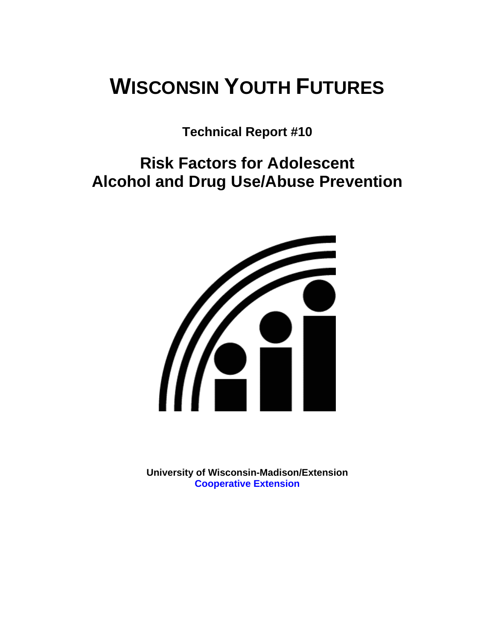# **WISCONSIN YOUTH FUTURES**

**Technical Report #10** 

**Risk Factors for Adolescent Alcohol and Drug Use/Abuse Prevention** 



**University of Wisconsin-Madison/Extension [Cooperative Extension](http://www1.uwex.edu/ces/index.cfm)**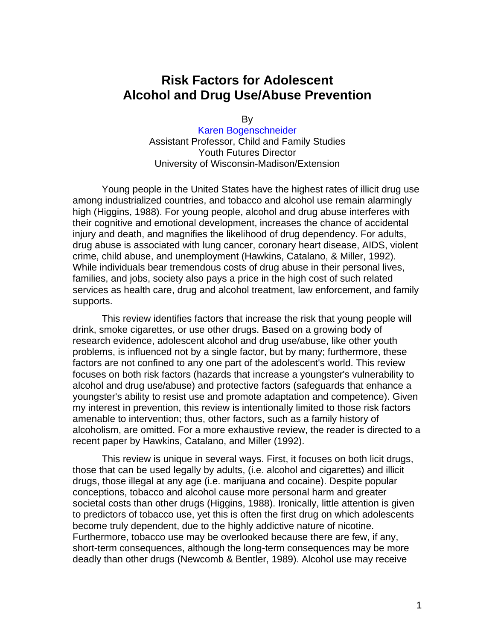# **Risk Factors for Adolescent Alcohol and Drug Use/Abuse Prevention**

By

[Karen Bogenschneider](http://www.uwex.edu/ces/flp/specialists/bogensch.html) Assistant Professor, Child and Family Studies Youth Futures Director University of Wisconsin-Madison/Extension

Young people in the United States have the highest rates of illicit drug use among industrialized countries, and tobacco and alcohol use remain alarmingly high (Higgins, 1988). For young people, alcohol and drug abuse interferes with their cognitive and emotional development, increases the chance of accidental injury and death, and magnifies the likelihood of drug dependency. For adults, drug abuse is associated with lung cancer, coronary heart disease, AIDS, violent crime, child abuse, and unemployment (Hawkins, Catalano, & Miller, 1992). While individuals bear tremendous costs of drug abuse in their personal lives, families, and jobs, society also pays a price in the high cost of such related services as health care, drug and alcohol treatment, law enforcement, and family supports.

This review identifies factors that increase the risk that young people will drink, smoke cigarettes, or use other drugs. Based on a growing body of research evidence, adolescent alcohol and drug use/abuse, like other youth problems, is influenced not by a single factor, but by many; furthermore, these factors are not confined to any one part of the adolescent's world. This review focuses on both risk factors (hazards that increase a youngster's vulnerability to alcohol and drug use/abuse) and protective factors (safeguards that enhance a youngster's ability to resist use and promote adaptation and competence). Given my interest in prevention, this review is intentionally limited to those risk factors amenable to intervention; thus, other factors, such as a family history of alcoholism, are omitted. For a more exhaustive review, the reader is directed to a recent paper by Hawkins, Catalano, and Miller (1992).

This review is unique in several ways. First, it focuses on both licit drugs, those that can be used legally by adults, (i.e. alcohol and cigarettes) and illicit drugs, those illegal at any age (i.e. marijuana and cocaine). Despite popular conceptions, tobacco and alcohol cause more personal harm and greater societal costs than other drugs (Higgins, 1988). Ironically, little attention is given to predictors of tobacco use, yet this is often the first drug on which adolescents become truly dependent, due to the highly addictive nature of nicotine. Furthermore, tobacco use may be overlooked because there are few, if any, short-term consequences, although the long-term consequences may be more deadly than other drugs (Newcomb & Bentler, 1989). Alcohol use may receive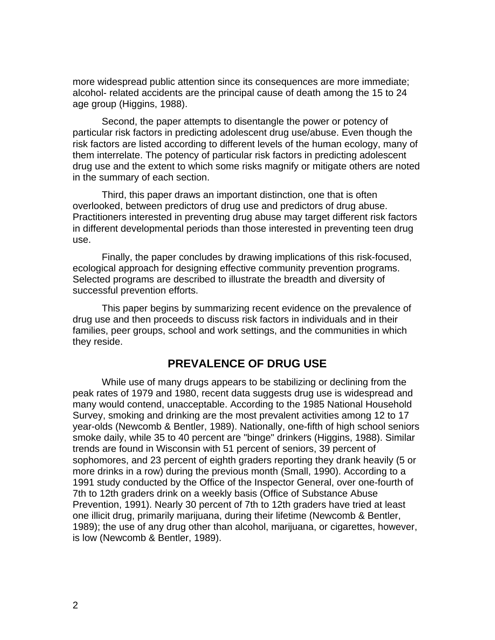more widespread public attention since its consequences are more immediate; alcohol- related accidents are the principal cause of death among the 15 to 24 age group (Higgins, 1988).

Second, the paper attempts to disentangle the power or potency of particular risk factors in predicting adolescent drug use/abuse. Even though the risk factors are listed according to different levels of the human ecology, many of them interrelate. The potency of particular risk factors in predicting adolescent drug use and the extent to which some risks magnify or mitigate others are noted in the summary of each section.

Third, this paper draws an important distinction, one that is often overlooked, between predictors of drug use and predictors of drug abuse. Practitioners interested in preventing drug abuse may target different risk factors in different developmental periods than those interested in preventing teen drug use.

Finally, the paper concludes by drawing implications of this risk-focused, ecological approach for designing effective community prevention programs. Selected programs are described to illustrate the breadth and diversity of successful prevention efforts.

This paper begins by summarizing recent evidence on the prevalence of drug use and then proceeds to discuss risk factors in individuals and in their families, peer groups, school and work settings, and the communities in which they reside.

#### **PREVALENCE OF DRUG USE**

While use of many drugs appears to be stabilizing or declining from the peak rates of 1979 and 1980, recent data suggests drug use is widespread and many would contend, unacceptable. According to the 1985 National Household Survey, smoking and drinking are the most prevalent activities among 12 to 17 year-olds (Newcomb & Bentler, 1989). Nationally, one-fifth of high school seniors smoke daily, while 35 to 40 percent are "binge" drinkers (Higgins, 1988). Similar trends are found in Wisconsin with 51 percent of seniors, 39 percent of sophomores, and 23 percent of eighth graders reporting they drank heavily (5 or more drinks in a row) during the previous month (Small, 1990). According to a 1991 study conducted by the Office of the Inspector General, over one-fourth of 7th to 12th graders drink on a weekly basis (Office of Substance Abuse Prevention, 1991). Nearly 30 percent of 7th to 12th graders have tried at least one illicit drug, primarily marijuana, during their lifetime (Newcomb & Bentler, 1989); the use of any drug other than alcohol, marijuana, or cigarettes, however, is low (Newcomb & Bentler, 1989).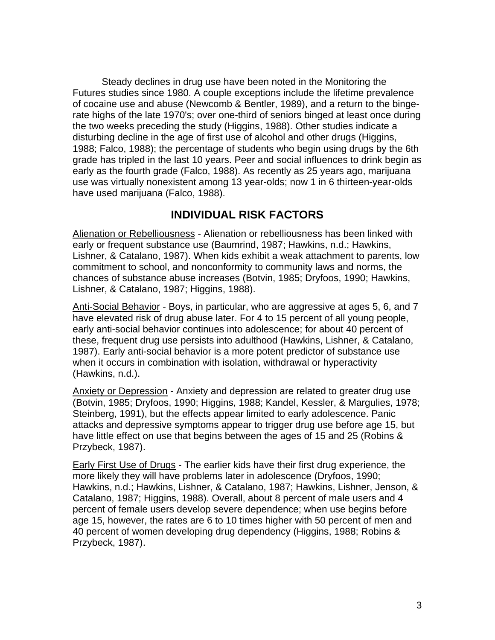Steady declines in drug use have been noted in the Monitoring the Futures studies since 1980. A couple exceptions include the lifetime prevalence of cocaine use and abuse (Newcomb & Bentler, 1989), and a return to the bingerate highs of the late 1970's; over one-third of seniors binged at least once during the two weeks preceding the study (Higgins, 1988). Other studies indicate a disturbing decline in the age of first use of alcohol and other drugs (Higgins, 1988; Falco, 1988); the percentage of students who begin using drugs by the 6th grade has tripled in the last 10 years. Peer and social influences to drink begin as early as the fourth grade (Falco, 1988). As recently as 25 years ago, marijuana use was virtually nonexistent among 13 year-olds; now 1 in 6 thirteen-year-olds have used marijuana (Falco, 1988).

## **INDIVIDUAL RISK FACTORS**

Alienation or Rebelliousness - Alienation or rebelliousness has been linked with early or frequent substance use (Baumrind, 1987; Hawkins, n.d.; Hawkins, Lishner, & Catalano, 1987). When kids exhibit a weak attachment to parents, low commitment to school, and nonconformity to community laws and norms, the chances of substance abuse increases (Botvin, 1985; Dryfoos, 1990; Hawkins, Lishner, & Catalano, 1987; Higgins, 1988).

Anti-Social Behavior - Boys, in particular, who are aggressive at ages 5, 6, and 7 have elevated risk of drug abuse later. For 4 to 15 percent of all young people, early anti-social behavior continues into adolescence; for about 40 percent of these, frequent drug use persists into adulthood (Hawkins, Lishner, & Catalano, 1987). Early anti-social behavior is a more potent predictor of substance use when it occurs in combination with isolation, withdrawal or hyperactivity (Hawkins, n.d.).

Anxiety or Depression - Anxiety and depression are related to greater drug use (Botvin, 1985; Dryfoos, 1990; Higgins, 1988; Kandel, Kessler, & Margulies, 1978; Steinberg, 1991), but the effects appear limited to early adolescence. Panic attacks and depressive symptoms appear to trigger drug use before age 15, but have little effect on use that begins between the ages of 15 and 25 (Robins & Przybeck, 1987).

Early First Use of Drugs - The earlier kids have their first drug experience, the more likely they will have problems later in adolescence (Dryfoos, 1990; Hawkins, n.d.; Hawkins, Lishner, & Catalano, 1987; Hawkins, Lishner, Jenson, & Catalano, 1987; Higgins, 1988). Overall, about 8 percent of male users and 4 percent of female users develop severe dependence; when use begins before age 15, however, the rates are 6 to 10 times higher with 50 percent of men and 40 percent of women developing drug dependency (Higgins, 1988; Robins & Przybeck, 1987).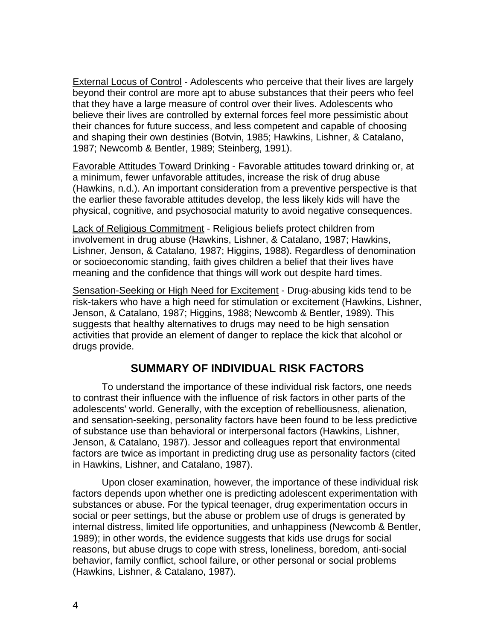External Locus of Control - Adolescents who perceive that their lives are largely beyond their control are more apt to abuse substances that their peers who feel that they have a large measure of control over their lives. Adolescents who believe their lives are controlled by external forces feel more pessimistic about their chances for future success, and less competent and capable of choosing and shaping their own destinies (Botvin, 1985; Hawkins, Lishner, & Catalano, 1987; Newcomb & Bentler, 1989; Steinberg, 1991).

Favorable Attitudes Toward Drinking - Favorable attitudes toward drinking or, at a minimum, fewer unfavorable attitudes, increase the risk of drug abuse (Hawkins, n.d.). An important consideration from a preventive perspective is that the earlier these favorable attitudes develop, the less likely kids will have the physical, cognitive, and psychosocial maturity to avoid negative consequences.

Lack of Religious Commitment - Religious beliefs protect children from involvement in drug abuse (Hawkins, Lishner, & Catalano, 1987; Hawkins, Lishner, Jenson, & Catalano, 1987; Higgins, 1988). Regardless of denomination or socioeconomic standing, faith gives children a belief that their lives have meaning and the confidence that things will work out despite hard times.

Sensation-Seeking or High Need for Excitement - Drug-abusing kids tend to be risk-takers who have a high need for stimulation or excitement (Hawkins, Lishner, Jenson, & Catalano, 1987; Higgins, 1988; Newcomb & Bentler, 1989). This suggests that healthy alternatives to drugs may need to be high sensation activities that provide an element of danger to replace the kick that alcohol or drugs provide.

# **SUMMARY OF INDIVIDUAL RISK FACTORS**

To understand the importance of these individual risk factors, one needs to contrast their influence with the influence of risk factors in other parts of the adolescents' world. Generally, with the exception of rebelliousness, alienation, and sensation-seeking, personality factors have been found to be less predictive of substance use than behavioral or interpersonal factors (Hawkins, Lishner, Jenson, & Catalano, 1987). Jessor and colleagues report that environmental factors are twice as important in predicting drug use as personality factors (cited in Hawkins, Lishner, and Catalano, 1987).

Upon closer examination, however, the importance of these individual risk factors depends upon whether one is predicting adolescent experimentation with substances or abuse. For the typical teenager, drug experimentation occurs in social or peer settings, but the abuse or problem use of drugs is generated by internal distress, limited life opportunities, and unhappiness (Newcomb & Bentler, 1989); in other words, the evidence suggests that kids use drugs for social reasons, but abuse drugs to cope with stress, loneliness, boredom, anti-social behavior, family conflict, school failure, or other personal or social problems (Hawkins, Lishner, & Catalano, 1987).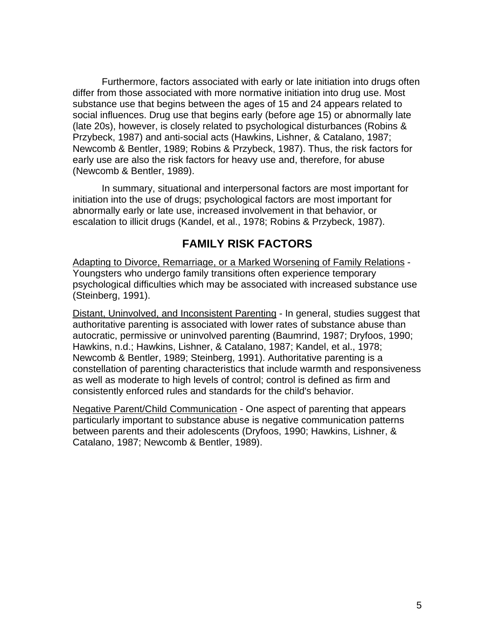Furthermore, factors associated with early or late initiation into drugs often differ from those associated with more normative initiation into drug use. Most substance use that begins between the ages of 15 and 24 appears related to social influences. Drug use that begins early (before age 15) or abnormally late (late 20s), however, is closely related to psychological disturbances (Robins & Przybeck, 1987) and anti-social acts (Hawkins, Lishner, & Catalano, 1987; Newcomb & Bentler, 1989; Robins & Przybeck, 1987). Thus, the risk factors for early use are also the risk factors for heavy use and, therefore, for abuse (Newcomb & Bentler, 1989).

In summary, situational and interpersonal factors are most important for initiation into the use of drugs; psychological factors are most important for abnormally early or late use, increased involvement in that behavior, or escalation to illicit drugs (Kandel, et al., 1978; Robins & Przybeck, 1987).

#### **FAMILY RISK FACTORS**

Adapting to Divorce, Remarriage, or a Marked Worsening of Family Relations - Youngsters who undergo family transitions often experience temporary psychological difficulties which may be associated with increased substance use (Steinberg, 1991).

Distant, Uninvolved, and Inconsistent Parenting - In general, studies suggest that authoritative parenting is associated with lower rates of substance abuse than autocratic, permissive or uninvolved parenting (Baumrind, 1987; Dryfoos, 1990; Hawkins, n.d.; Hawkins, Lishner, & Catalano, 1987; Kandel, et al., 1978; Newcomb & Bentler, 1989; Steinberg, 1991). Authoritative parenting is a constellation of parenting characteristics that include warmth and responsiveness as well as moderate to high levels of control; control is defined as firm and consistently enforced rules and standards for the child's behavior.

Negative Parent/Child Communication - One aspect of parenting that appears particularly important to substance abuse is negative communication patterns between parents and their adolescents (Dryfoos, 1990; Hawkins, Lishner, & Catalano, 1987; Newcomb & Bentler, 1989).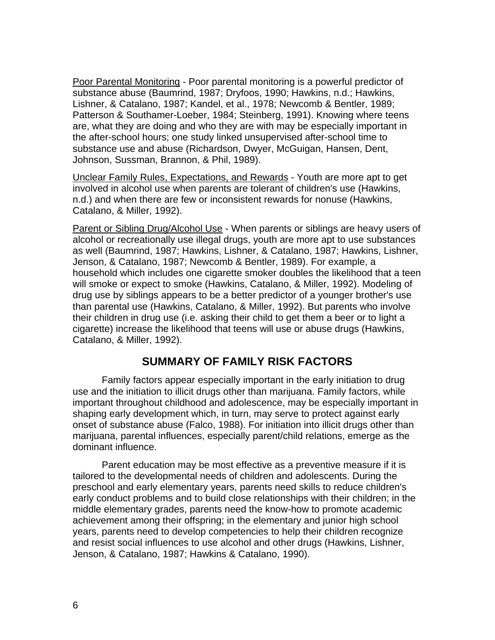Poor Parental Monitoring - Poor parental monitoring is a powerful predictor of substance abuse (Baumrind, 1987; Dryfoos, 1990; Hawkins, n.d.; Hawkins, Lishner, & Catalano, 1987; Kandel, et al., 1978; Newcomb & Bentler, 1989; Patterson & Southamer-Loeber, 1984; Steinberg, 1991). Knowing where teens are, what they are doing and who they are with may be especially important in the after-school hours; one study linked unsupervised after-school time to substance use and abuse (Richardson, Dwyer, McGuigan, Hansen, Dent, Johnson, Sussman, Brannon, & Phil, 1989).

Unclear Family Rules, Expectations, and Rewards - Youth are more apt to get involved in alcohol use when parents are tolerant of children's use (Hawkins, n.d.) and when there are few or inconsistent rewards for nonuse (Hawkins, Catalano, & Miller, 1992).

Parent or Sibling Drug/Alcohol Use - When parents or siblings are heavy users of alcohol or recreationally use illegal drugs, youth are more apt to use substances as well (Baumrind, 1987; Hawkins, Lishner, & Catalano, 1987; Hawkins, Lishner, Jenson, & Catalano, 1987; Newcomb & Bentler, 1989). For example, a household which includes one cigarette smoker doubles the likelihood that a teen will smoke or expect to smoke (Hawkins, Catalano, & Miller, 1992). Modeling of drug use by siblings appears to be a better predictor of a younger brother's use than parental use (Hawkins, Catalano, & Miller, 1992). But parents who involve their children in drug use (i.e. asking their child to get them a beer or to light a cigarette) increase the likelihood that teens will use or abuse drugs (Hawkins, Catalano, & Miller, 1992).

#### **SUMMARY OF FAMILY RISK FACTORS**

Family factors appear especially important in the early initiation to drug use and the initiation to illicit drugs other than marijuana. Family factors, while important throughout childhood and adolescence, may be especially important in shaping early development which, in turn, may serve to protect against early onset of substance abuse (Falco, 1988). For initiation into illicit drugs other than marijuana, parental influences, especially parent/child relations, emerge as the dominant influence.

Parent education may be most effective as a preventive measure if it is tailored to the developmental needs of children and adolescents. During the preschool and early elementary years, parents need skills to reduce children's early conduct problems and to build close relationships with their children; in the middle elementary grades, parents need the know-how to promote academic achievement among their offspring; in the elementary and junior high school years, parents need to develop competencies to help their children recognize and resist social influences to use alcohol and other drugs (Hawkins, Lishner, Jenson, & Catalano, 1987; Hawkins & Catalano, 1990).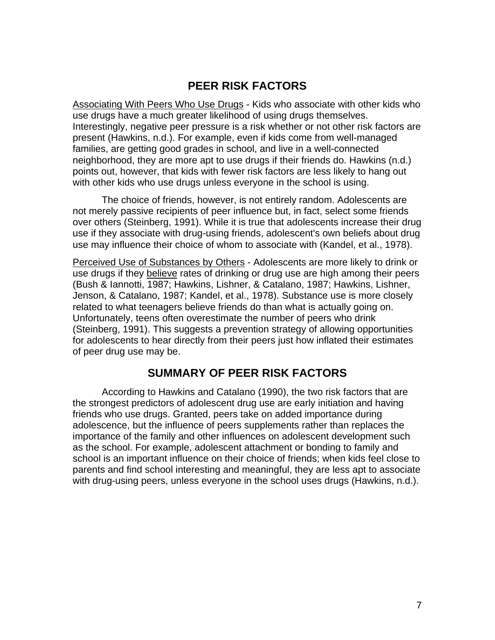# **PEER RISK FACTORS**

Associating With Peers Who Use Drugs - Kids who associate with other kids who use drugs have a much greater likelihood of using drugs themselves. Interestingly, negative peer pressure is a risk whether or not other risk factors are present (Hawkins, n.d.). For example, even if kids come from well-managed families, are getting good grades in school, and live in a well-connected neighborhood, they are more apt to use drugs if their friends do. Hawkins (n.d.) points out, however, that kids with fewer risk factors are less likely to hang out with other kids who use drugs unless everyone in the school is using.

The choice of friends, however, is not entirely random. Adolescents are not merely passive recipients of peer influence but, in fact, select some friends over others (Steinberg, 1991). While it is true that adolescents increase their drug use if they associate with drug-using friends, adolescent's own beliefs about drug use may influence their choice of whom to associate with (Kandel, et al., 1978).

Perceived Use of Substances by Others - Adolescents are more likely to drink or use drugs if they believe rates of drinking or drug use are high among their peers (Bush & Iannotti, 1987; Hawkins, Lishner, & Catalano, 1987; Hawkins, Lishner, Jenson, & Catalano, 1987; Kandel, et al., 1978). Substance use is more closely related to what teenagers believe friends do than what is actually going on. Unfortunately, teens often overestimate the number of peers who drink (Steinberg, 1991). This suggests a prevention strategy of allowing opportunities for adolescents to hear directly from their peers just how inflated their estimates of peer drug use may be.

# **SUMMARY OF PEER RISK FACTORS**

According to Hawkins and Catalano (1990), the two risk factors that are the strongest predictors of adolescent drug use are early initiation and having friends who use drugs. Granted, peers take on added importance during adolescence, but the influence of peers supplements rather than replaces the importance of the family and other influences on adolescent development such as the school. For example, adolescent attachment or bonding to family and school is an important influence on their choice of friends; when kids feel close to parents and find school interesting and meaningful, they are less apt to associate with drug-using peers, unless everyone in the school uses drugs (Hawkins, n.d.).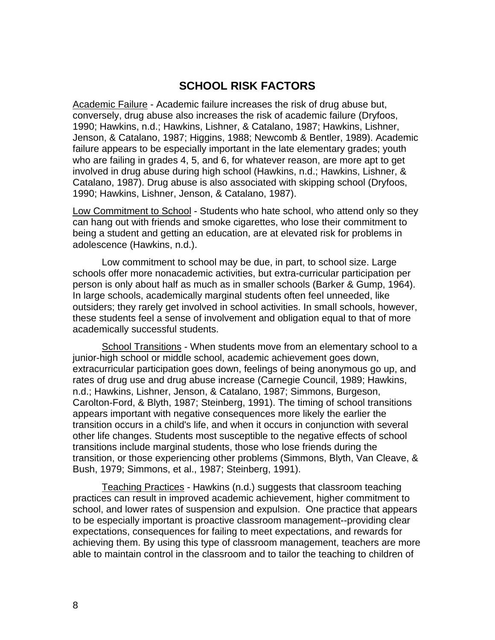## **SCHOOL RISK FACTORS**

Academic Failure - Academic failure increases the risk of drug abuse but, conversely, drug abuse also increases the risk of academic failure (Dryfoos, 1990; Hawkins, n.d.; Hawkins, Lishner, & Catalano, 1987; Hawkins, Lishner, Jenson, & Catalano, 1987; Higgins, 1988; Newcomb & Bentler, 1989). Academic failure appears to be especially important in the late elementary grades; youth who are failing in grades 4, 5, and 6, for whatever reason, are more apt to get involved in drug abuse during high school (Hawkins, n.d.; Hawkins, Lishner, & Catalano, 1987). Drug abuse is also associated with skipping school (Dryfoos, 1990; Hawkins, Lishner, Jenson, & Catalano, 1987).

Low Commitment to School - Students who hate school, who attend only so they can hang out with friends and smoke cigarettes, who lose their commitment to being a student and getting an education, are at elevated risk for problems in adolescence (Hawkins, n.d.).

Low commitment to school may be due, in part, to school size. Large schools offer more nonacademic activities, but extra-curricular participation per person is only about half as much as in smaller schools (Barker & Gump, 1964). In large schools, academically marginal students often feel unneeded, like outsiders; they rarely get involved in school activities. In small schools, however, these students feel a sense of involvement and obligation equal to that of more academically successful students.

School Transitions - When students move from an elementary school to a junior-high school or middle school, academic achievement goes down, extracurricular participation goes down, feelings of being anonymous go up, and rates of drug use and drug abuse increase (Carnegie Council, 1989; Hawkins, n.d.; Hawkins, Lishner, Jenson, & Catalano, 1987; Simmons, Burgeson, Carolton-Ford, & Blyth, 1987; Steinberg, 1991). The timing of school transitions appears important with negative consequences more likely the earlier the transition occurs in a child's life, and when it occurs in conjunction with several other life changes. Students most susceptible to the negative effects of school transitions include marginal students, those who lose friends during the transition, or those experiencing other problems (Simmons, Blyth, Van Cleave, & Bush, 1979; Simmons, et al., 1987; Steinberg, 1991).

Teaching Practices - Hawkins (n.d.) suggests that classroom teaching practices can result in improved academic achievement, higher commitment to school, and lower rates of suspension and expulsion. One practice that appears to be especially important is proactive classroom management--providing clear expectations, consequences for failing to meet expectations, and rewards for achieving them. By using this type of classroom management, teachers are more able to maintain control in the classroom and to tailor the teaching to children of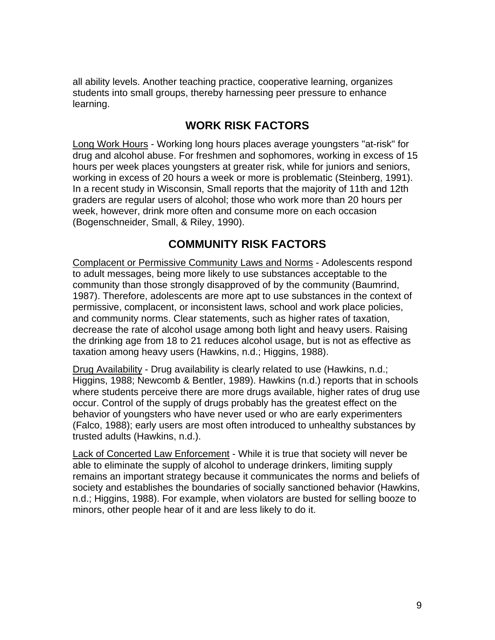all ability levels. Another teaching practice, cooperative learning, organizes students into small groups, thereby harnessing peer pressure to enhance learning.

# **WORK RISK FACTORS**

Long Work Hours - Working long hours places average youngsters "at-risk" for drug and alcohol abuse. For freshmen and sophomores, working in excess of 15 hours per week places youngsters at greater risk, while for juniors and seniors, working in excess of 20 hours a week or more is problematic (Steinberg, 1991). In a recent study in Wisconsin, Small reports that the majority of 11th and 12th graders are regular users of alcohol; those who work more than 20 hours per week, however, drink more often and consume more on each occasion (Bogenschneider, Small, & Riley, 1990).

# **COMMUNITY RISK FACTORS**

Complacent or Permissive Community Laws and Norms - Adolescents respond to adult messages, being more likely to use substances acceptable to the community than those strongly disapproved of by the community (Baumrind, 1987). Therefore, adolescents are more apt to use substances in the context of permissive, complacent, or inconsistent laws, school and work place policies, and community norms. Clear statements, such as higher rates of taxation, decrease the rate of alcohol usage among both light and heavy users. Raising the drinking age from 18 to 21 reduces alcohol usage, but is not as effective as taxation among heavy users (Hawkins, n.d.; Higgins, 1988).

Drug Availability - Drug availability is clearly related to use (Hawkins, n.d.; Higgins, 1988; Newcomb & Bentler, 1989). Hawkins (n.d.) reports that in schools where students perceive there are more drugs available, higher rates of drug use occur. Control of the supply of drugs probably has the greatest effect on the behavior of youngsters who have never used or who are early experimenters (Falco, 1988); early users are most often introduced to unhealthy substances by trusted adults (Hawkins, n.d.).

Lack of Concerted Law Enforcement - While it is true that society will never be able to eliminate the supply of alcohol to underage drinkers, limiting supply remains an important strategy because it communicates the norms and beliefs of society and establishes the boundaries of socially sanctioned behavior (Hawkins, n.d.; Higgins, 1988). For example, when violators are busted for selling booze to minors, other people hear of it and are less likely to do it.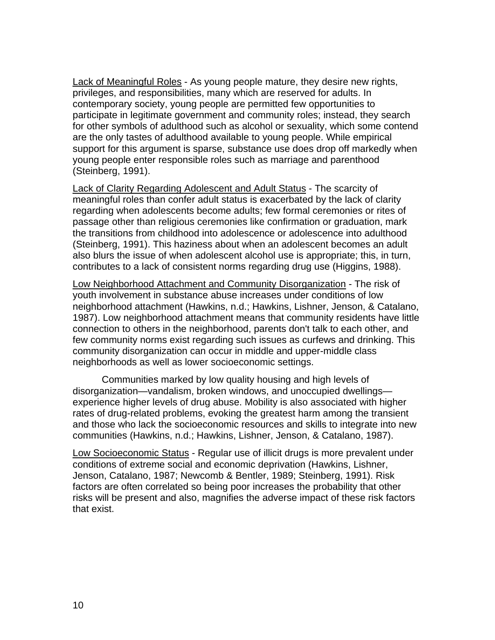Lack of Meaningful Roles - As young people mature, they desire new rights, privileges, and responsibilities, many which are reserved for adults. In contemporary society, young people are permitted few opportunities to participate in legitimate government and community roles; instead, they search for other symbols of adulthood such as alcohol or sexuality, which some contend are the only tastes of adulthood available to young people. While empirical support for this argument is sparse, substance use does drop off markedly when young people enter responsible roles such as marriage and parenthood (Steinberg, 1991).

Lack of Clarity Regarding Adolescent and Adult Status - The scarcity of meaningful roles than confer adult status is exacerbated by the lack of clarity regarding when adolescents become adults; few formal ceremonies or rites of passage other than religious ceremonies like confirmation or graduation, mark the transitions from childhood into adolescence or adolescence into adulthood (Steinberg, 1991). This haziness about when an adolescent becomes an adult also blurs the issue of when adolescent alcohol use is appropriate; this, in turn, contributes to a lack of consistent norms regarding drug use (Higgins, 1988).

Low Neighborhood Attachment and Community Disorganization - The risk of youth involvement in substance abuse increases under conditions of low neighborhood attachment (Hawkins, n.d.; Hawkins, Lishner, Jenson, & Catalano, 1987). Low neighborhood attachment means that community residents have little connection to others in the neighborhood, parents don't talk to each other, and few community norms exist regarding such issues as curfews and drinking. This community disorganization can occur in middle and upper-middle class neighborhoods as well as lower socioeconomic settings.

Communities marked by low quality housing and high levels of disorganization—vandalism, broken windows, and unoccupied dwellings experience higher levels of drug abuse. Mobility is also associated with higher rates of drug-related problems, evoking the greatest harm among the transient and those who lack the socioeconomic resources and skills to integrate into new communities (Hawkins, n.d.; Hawkins, Lishner, Jenson, & Catalano, 1987).

Low Socioeconomic Status - Regular use of illicit drugs is more prevalent under conditions of extreme social and economic deprivation (Hawkins, Lishner, Jenson, Catalano, 1987; Newcomb & Bentler, 1989; Steinberg, 1991). Risk factors are often correlated so being poor increases the probability that other risks will be present and also, magnifies the adverse impact of these risk factors that exist.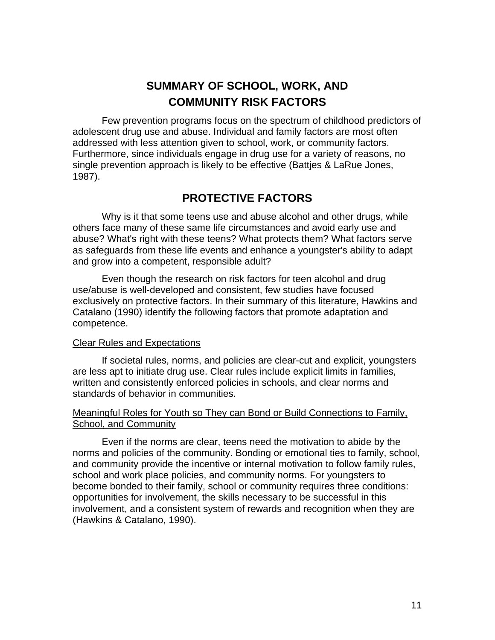# **SUMMARY OF SCHOOL, WORK, AND COMMUNITY RISK FACTORS**

Few prevention programs focus on the spectrum of childhood predictors of adolescent drug use and abuse. Individual and family factors are most often addressed with less attention given to school, work, or community factors. Furthermore, since individuals engage in drug use for a variety of reasons, no single prevention approach is likely to be effective (Battjes & LaRue Jones, 1987).

#### **PROTECTIVE FACTORS**

Why is it that some teens use and abuse alcohol and other drugs, while others face many of these same life circumstances and avoid early use and abuse? What's right with these teens? What protects them? What factors serve as safeguards from these life events and enhance a youngster's ability to adapt and grow into a competent, responsible adult?

Even though the research on risk factors for teen alcohol and drug use/abuse is well-developed and consistent, few studies have focused exclusively on protective factors. In their summary of this literature, Hawkins and Catalano (1990) identify the following factors that promote adaptation and competence.

#### Clear Rules and Expectations

If societal rules, norms, and policies are clear-cut and explicit, youngsters are less apt to initiate drug use. Clear rules include explicit limits in families, written and consistently enforced policies in schools, and clear norms and standards of behavior in communities.

#### Meaningful Roles for Youth so They can Bond or Build Connections to Family, School, and Community

Even if the norms are clear, teens need the motivation to abide by the norms and policies of the community. Bonding or emotional ties to family, school, and community provide the incentive or internal motivation to follow family rules, school and work place policies, and community norms. For youngsters to become bonded to their family, school or community requires three conditions: opportunities for involvement, the skills necessary to be successful in this involvement, and a consistent system of rewards and recognition when they are (Hawkins & Catalano, 1990).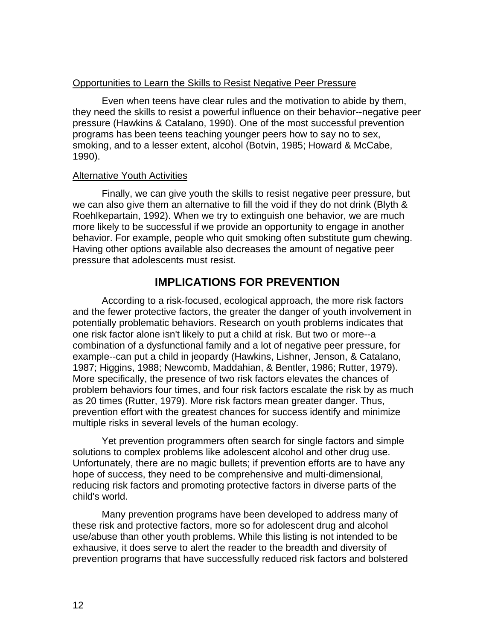#### Opportunities to Learn the Skills to Resist Negative Peer Pressure

Even when teens have clear rules and the motivation to abide by them, they need the skills to resist a powerful influence on their behavior--negative peer pressure (Hawkins & Catalano, 1990). One of the most successful prevention programs has been teens teaching younger peers how to say no to sex, smoking, and to a lesser extent, alcohol (Botvin, 1985; Howard & McCabe, 1990).

#### Alternative Youth Activities

Finally, we can give youth the skills to resist negative peer pressure, but we can also give them an alternative to fill the void if they do not drink (Blyth & Roehlkepartain, 1992). When we try to extinguish one behavior, we are much more likely to be successful if we provide an opportunity to engage in another behavior. For example, people who quit smoking often substitute gum chewing. Having other options available also decreases the amount of negative peer pressure that adolescents must resist.

## **IMPLICATIONS FOR PREVENTION**

According to a risk-focused, ecological approach, the more risk factors and the fewer protective factors, the greater the danger of youth involvement in potentially problematic behaviors. Research on youth problems indicates that one risk factor alone isn't likely to put a child at risk. But two or more--a combination of a dysfunctional family and a lot of negative peer pressure, for example--can put a child in jeopardy (Hawkins, Lishner, Jenson, & Catalano, 1987; Higgins, 1988; Newcomb, Maddahian, & Bentler, 1986; Rutter, 1979). More specifically, the presence of two risk factors elevates the chances of problem behaviors four times, and four risk factors escalate the risk by as much as 20 times (Rutter, 1979). More risk factors mean greater danger. Thus, prevention effort with the greatest chances for success identify and minimize multiple risks in several levels of the human ecology.

Yet prevention programmers often search for single factors and simple solutions to complex problems like adolescent alcohol and other drug use. Unfortunately, there are no magic bullets; if prevention efforts are to have any hope of success, they need to be comprehensive and multi-dimensional, reducing risk factors and promoting protective factors in diverse parts of the child's world.

Many prevention programs have been developed to address many of these risk and protective factors, more so for adolescent drug and alcohol use/abuse than other youth problems. While this listing is not intended to be exhausive, it does serve to alert the reader to the breadth and diversity of prevention programs that have successfully reduced risk factors and bolstered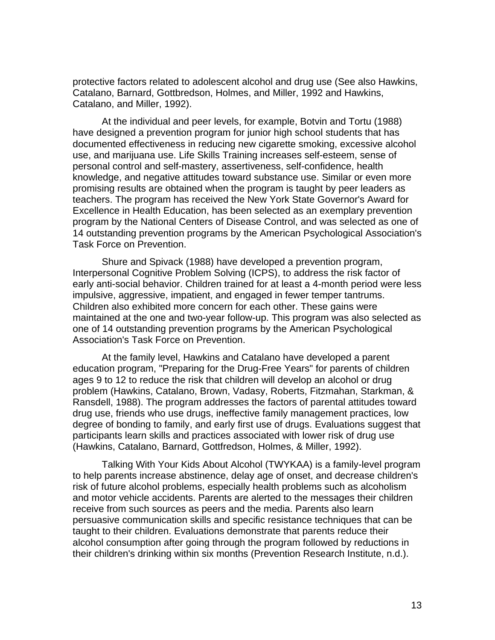protective factors related to adolescent alcohol and drug use (See also Hawkins, Catalano, Barnard, Gottbredson, Holmes, and Miller, 1992 and Hawkins, Catalano, and Miller, 1992).

At the individual and peer levels, for example, Botvin and Tortu (1988) have designed a prevention program for junior high school students that has documented effectiveness in reducing new cigarette smoking, excessive alcohol use, and marijuana use. Life Skills Training increases self-esteem, sense of personal control and self-mastery, assertiveness, self-confidence, health knowledge, and negative attitudes toward substance use. Similar or even more promising results are obtained when the program is taught by peer leaders as teachers. The program has received the New York State Governor's Award for Excellence in Health Education, has been selected as an exemplary prevention program by the National Centers of Disease Control, and was selected as one of 14 outstanding prevention programs by the American Psychological Association's Task Force on Prevention.

Shure and Spivack (1988) have developed a prevention program, Interpersonal Cognitive Problem Solving (ICPS), to address the risk factor of early anti-social behavior. Children trained for at least a 4-month period were less impulsive, aggressive, impatient, and engaged in fewer temper tantrums. Children also exhibited more concern for each other. These gains were maintained at the one and two-year follow-up. This program was also selected as one of 14 outstanding prevention programs by the American Psychological Association's Task Force on Prevention.

At the family level, Hawkins and Catalano have developed a parent education program, "Preparing for the Drug-Free Years" for parents of children ages 9 to 12 to reduce the risk that children will develop an alcohol or drug problem (Hawkins, Catalano, Brown, Vadasy, Roberts, Fitzmahan, Starkman, & Ransdell, 1988). The program addresses the factors of parental attitudes toward drug use, friends who use drugs, ineffective family management practices, low degree of bonding to family, and early first use of drugs. Evaluations suggest that participants learn skills and practices associated with lower risk of drug use (Hawkins, Catalano, Barnard, Gottfredson, Holmes, & Miller, 1992).

Talking With Your Kids About Alcohol (TWYKAA) is a family-level program to help parents increase abstinence, delay age of onset, and decrease children's risk of future alcohol problems, especially health problems such as alcoholism and motor vehicle accidents. Parents are alerted to the messages their children receive from such sources as peers and the media. Parents also learn persuasive communication skills and specific resistance techniques that can be taught to their children. Evaluations demonstrate that parents reduce their alcohol consumption after going through the program followed by reductions in their children's drinking within six months (Prevention Research Institute, n.d.).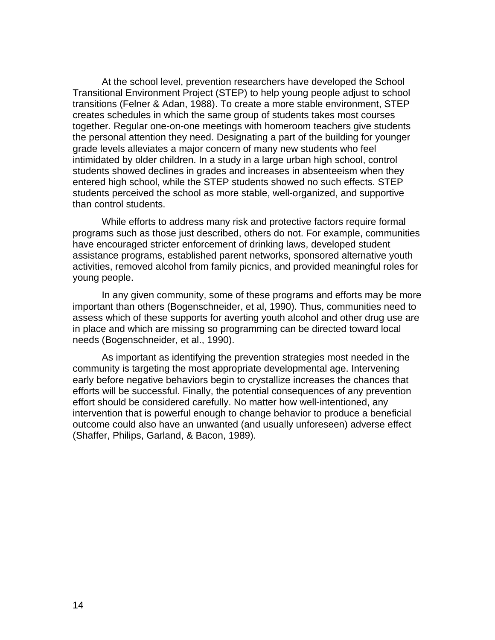At the school level, prevention researchers have developed the School Transitional Environment Project (STEP) to help young people adjust to school transitions (Felner & Adan, 1988). To create a more stable environment, STEP creates schedules in which the same group of students takes most courses together. Regular one-on-one meetings with homeroom teachers give students the personal attention they need. Designating a part of the building for younger grade levels alleviates a major concern of many new students who feel intimidated by older children. In a study in a large urban high school, control students showed declines in grades and increases in absenteeism when they entered high school, while the STEP students showed no such effects. STEP students perceived the school as more stable, well-organized, and supportive than control students.

While efforts to address many risk and protective factors require formal programs such as those just described, others do not. For example, communities have encouraged stricter enforcement of drinking laws, developed student assistance programs, established parent networks, sponsored alternative youth activities, removed alcohol from family picnics, and provided meaningful roles for young people.

In any given community, some of these programs and efforts may be more important than others (Bogenschneider, et al, 1990). Thus, communities need to assess which of these supports for averting youth alcohol and other drug use are in place and which are missing so programming can be directed toward local needs (Bogenschneider, et al., 1990).

As important as identifying the prevention strategies most needed in the community is targeting the most appropriate developmental age. Intervening early before negative behaviors begin to crystallize increases the chances that efforts will be successful. Finally, the potential consequences of any prevention effort should be considered carefully. No matter how well-intentioned, any intervention that is powerful enough to change behavior to produce a beneficial outcome could also have an unwanted (and usually unforeseen) adverse effect (Shaffer, Philips, Garland, & Bacon, 1989).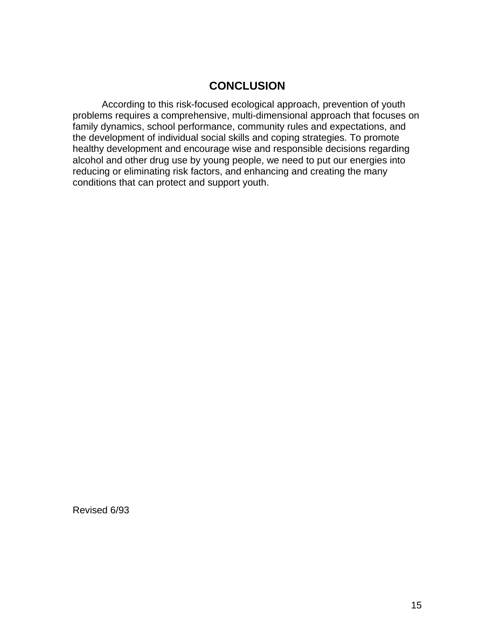# **CONCLUSION**

According to this risk-focused ecological approach, prevention of youth problems requires a comprehensive, multi-dimensional approach that focuses on family dynamics, school performance, community rules and expectations, and the development of individual social skills and coping strategies. To promote healthy development and encourage wise and responsible decisions regarding alcohol and other drug use by young people, we need to put our energies into reducing or eliminating risk factors, and enhancing and creating the many conditions that can protect and support youth.

Revised 6/93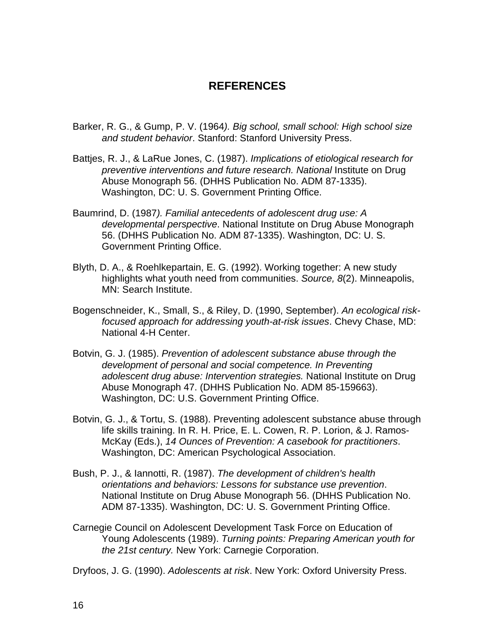## **REFERENCES**

- Barker, R. G., & Gump, P. V. (1964*). Big school, small school: High school size and student behavior*. Stanford: Stanford University Press.
- Battjes, R. J., & LaRue Jones, C. (1987). *Implications of etiological research for preventive interventions and future research. National* Institute on Drug Abuse Monograph 56. (DHHS Publication No. ADM 87-1335). Washington, DC: U. S. Government Printing Office.
- Baumrind, D. (1987*). Familial antecedents of adolescent drug use: A developmental perspective*. National Institute on Drug Abuse Monograph 56. (DHHS Publication No. ADM 87-1335). Washington, DC: U. S. Government Printing Office.
- Blyth, D. A., & Roehlkepartain, E. G. (1992). Working together: A new study highlights what youth need from communities. *Source, 8*(2). Minneapolis, MN: Search Institute.
- Bogenschneider, K., Small, S., & Riley, D. (1990, September). *An ecological riskfocused approach for addressing youth-at-risk issues*. Chevy Chase, MD: National 4-H Center.
- Botvin, G. J. (1985). *Prevention of adolescent substance abuse through the development of personal and social competence. In Preventing adolescent drug abuse: Intervention strategies.* National Institute on Drug Abuse Monograph 47. (DHHS Publication No. ADM 85-159663). Washington, DC: U.S. Government Printing Office.
- Botvin, G. J., & Tortu, S. (1988). Preventing adolescent substance abuse through life skills training. In R. H. Price, E. L. Cowen, R. P. Lorion, & J. Ramos-McKay (Eds.), *14 Ounces of Prevention: A casebook for practitioners*. Washington, DC: American Psychological Association.
- Bush, P. J., & Iannotti, R. (1987). *The development of children's health orientations and behaviors: Lessons for substance use prevention*. National Institute on Drug Abuse Monograph 56. (DHHS Publication No. ADM 87-1335). Washington, DC: U. S. Government Printing Office.
- Carnegie Council on Adolescent Development Task Force on Education of Young Adolescents (1989). *Turning points: Preparing American youth for the 21st century.* New York: Carnegie Corporation.

Dryfoos, J. G. (1990). *Adolescents at risk*. New York: Oxford University Press.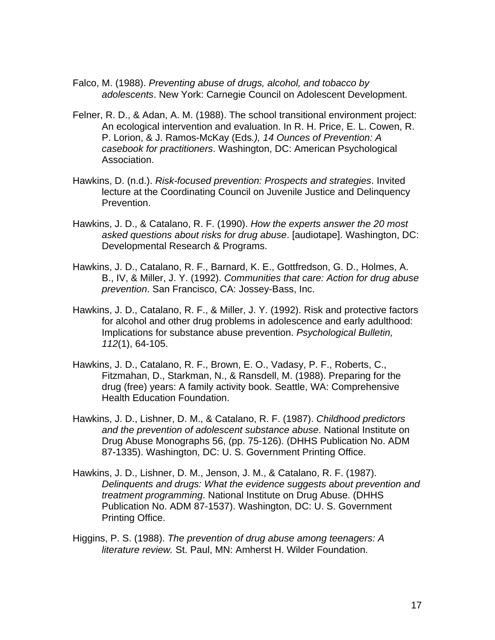- Falco, M. (1988). *Preventing abuse of drugs, alcohol, and tobacco by adolescents*. New York: Carnegie Council on Adolescent Development.
- Felner, R. D., & Adan, A. M. (1988). The school transitional environment project: An ecological intervention and evaluation. In R. H. Price, E. L. Cowen, R. P. Lorion, & J. Ramos-McKay (Eds*.), 14 Ounces of Prevention: A casebook for practitioners*. Washington, DC: American Psychological Association.
- Hawkins, D. (n.d.). *Risk-focused prevention: Prospects and strategies*. Invited lecture at the Coordinating Council on Juvenile Justice and Delinquency Prevention.
- Hawkins, J. D., & Catalano, R. F. (1990). *How the experts answer the 20 most asked questions about risks for drug abuse*. [audiotape]. Washington, DC: Developmental Research & Programs.
- Hawkins, J. D., Catalano, R. F., Barnard, K. E., Gottfredson, G. D., Holmes, A. B., IV, & Miller, J. Y. (1992). *Communities that care: Action for drug abuse prevention*. San Francisco, CA: Jossey-Bass, Inc.
- Hawkins, J. D., Catalano, R. F., & Miller, J. Y. (1992). Risk and protective factors for alcohol and other drug problems in adolescence and early adulthood: Implications for substance abuse prevention. *Psychological Bulletin, 112*(1), 64-105.
- Hawkins, J. D., Catalano, R. F., Brown, E. O., Vadasy, P. F., Roberts, C., Fitzmahan, D., Starkman, N., & Ransdell, M. (1988). Preparing for the drug (free) years: A family activity book. Seattle, WA: Comprehensive Health Education Foundation.
- Hawkins, J. D., Lishner, D. M., & Catalano, R. F. (1987). *Childhood predictors and the prevention of adolescent substance abuse*. National Institute on Drug Abuse Monographs 56, (pp. 75-126). (DHHS Publication No. ADM 87-1335). Washington, DC: U. S. Government Printing Office.
- Hawkins, J. D., Lishner, D. M., Jenson, J. M., & Catalano, R. F. (1987). *Delinquents and drugs: What the evidence suggests about prevention and treatment programming*. National Institute on Drug Abuse. (DHHS Publication No. ADM 87-1537). Washington, DC: U. S. Government Printing Office.
- Higgins, P. S. (1988). *The prevention of drug abuse among teenagers: A literature review.* St. Paul, MN: Amherst H. Wilder Foundation.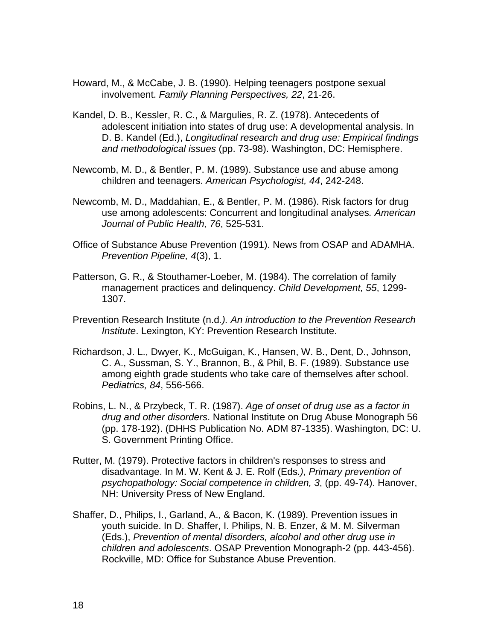- Howard, M., & McCabe, J. B. (1990). Helping teenagers postpone sexual involvement. *Family Planning Perspectives, 22*, 21-26.
- Kandel, D. B., Kessler, R. C., & Margulies, R. Z. (1978). Antecedents of adolescent initiation into states of drug use: A developmental analysis. In D. B. Kandel (Ed.), *Longitudinal research and drug use: Empirical findings and methodological issues* (pp. 73-98). Washington, DC: Hemisphere.
- Newcomb, M. D., & Bentler, P. M. (1989). Substance use and abuse among children and teenagers. *American Psychologist, 44*, 242-248.
- Newcomb, M. D., Maddahian, E., & Bentler, P. M. (1986). Risk factors for drug use among adolescents: Concurrent and longitudinal analyses*. American Journal of Public Health, 76*, 525-531.
- Office of Substance Abuse Prevention (1991). News from OSAP and ADAMHA. *Prevention Pipeline, 4*(3), 1.
- Patterson, G. R., & Stouthamer-Loeber, M. (1984). The correlation of family management practices and delinquency. *Child Development, 55*, 1299- 1307.
- Prevention Research Institute (n.d*.). An introduction to the Prevention Research Institute*. Lexington, KY: Prevention Research Institute.
- Richardson, J. L., Dwyer, K., McGuigan, K., Hansen, W. B., Dent, D., Johnson, C. A., Sussman, S. Y., Brannon, B., & Phil, B. F. (1989). Substance use among eighth grade students who take care of themselves after school. *Pediatrics, 84*, 556-566.
- Robins, L. N., & Przybeck, T. R. (1987). *Age of onset of drug use as a factor in drug and other disorders*. National Institute on Drug Abuse Monograph 56 (pp. 178-192). (DHHS Publication No. ADM 87-1335). Washington, DC: U. S. Government Printing Office.
- Rutter, M. (1979). Protective factors in children's responses to stress and disadvantage. In M. W. Kent & J. E. Rolf (Eds*.), Primary prevention of psychopathology: Social competence in children, 3*, (pp. 49-74). Hanover, NH: University Press of New England.
- Shaffer, D., Philips, I., Garland, A., & Bacon, K. (1989). Prevention issues in youth suicide. In D. Shaffer, I. Philips, N. B. Enzer, & M. M. Silverman (Eds.), *Prevention of mental disorders, alcohol and other drug use in children and adolescents*. OSAP Prevention Monograph-2 (pp. 443-456). Rockville, MD: Office for Substance Abuse Prevention.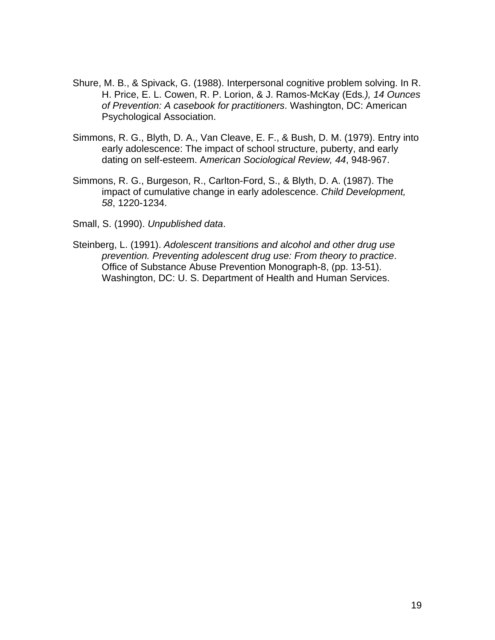- Shure, M. B., & Spivack, G. (1988). Interpersonal cognitive problem solving. In R. H. Price, E. L. Cowen, R. P. Lorion, & J. Ramos-McKay (Eds*.), 14 Ounces of Prevention: A casebook for practitioners*. Washington, DC: American Psychological Association.
- Simmons, R. G., Blyth, D. A., Van Cleave, E. F., & Bush, D. M. (1979). Entry into early adolescence: The impact of school structure, puberty, and early dating on self-esteem. A*merican Sociological Review, 44*, 948-967.
- Simmons, R. G., Burgeson, R., Carlton-Ford, S., & Blyth, D. A. (1987). The impact of cumulative change in early adolescence. *Child Development, 58*, 1220-1234.

Small, S. (1990). *Unpublished data*.

Steinberg, L. (1991). *Adolescent transitions and alcohol and other drug use prevention. Preventing adolescent drug use: From theory to practice*. Office of Substance Abuse Prevention Monograph-8, (pp. 13-51). Washington, DC: U. S. Department of Health and Human Services.